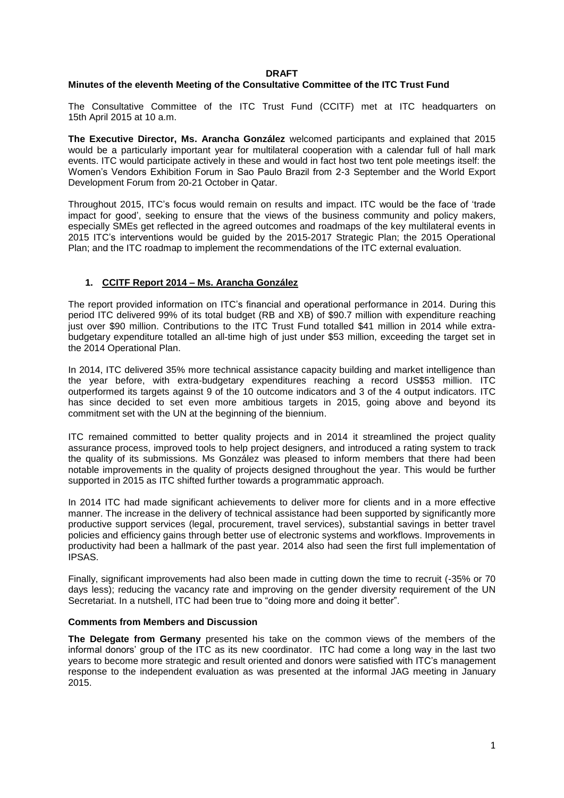#### **DRAFT**

# **Minutes of the eleventh Meeting of the Consultative Committee of the ITC Trust Fund**

The Consultative Committee of the ITC Trust Fund (CCITF) met at ITC headquarters on 15th April 2015 at 10 a.m.

**The Executive Director, Ms. Arancha González** welcomed participants and explained that 2015 would be a particularly important year for multilateral cooperation with a calendar full of hall mark events. ITC would participate actively in these and would in fact host two tent pole meetings itself: the Women's Vendors Exhibition Forum in Sao Paulo Brazil from 2-3 September and the World Export Development Forum from 20-21 October in Qatar.

Throughout 2015, ITC's focus would remain on results and impact. ITC would be the face of 'trade impact for good', seeking to ensure that the views of the business community and policy makers, especially SMEs get reflected in the agreed outcomes and roadmaps of the key multilateral events in 2015 ITC's interventions would be guided by the 2015-2017 Strategic Plan; the 2015 Operational Plan; and the ITC roadmap to implement the recommendations of the ITC external evaluation.

# **1. CCITF Report 2014 – Ms. Arancha González**

The report provided information on ITC's financial and operational performance in 2014. During this period ITC delivered 99% of its total budget (RB and XB) of \$90.7 million with expenditure reaching just over \$90 million. Contributions to the ITC Trust Fund totalled \$41 million in 2014 while extrabudgetary expenditure totalled an all-time high of just under \$53 million, exceeding the target set in the 2014 Operational Plan.

In 2014, ITC delivered 35% more technical assistance capacity building and market intelligence than the year before, with extra-budgetary expenditures reaching a record US\$53 million. ITC outperformed its targets against 9 of the 10 outcome indicators and 3 of the 4 output indicators. ITC has since decided to set even more ambitious targets in 2015, going above and beyond its commitment set with the UN at the beginning of the biennium.

ITC remained committed to better quality projects and in 2014 it streamlined the project quality assurance process, improved tools to help project designers, and introduced a rating system to track the quality of its submissions. Ms González was pleased to inform members that there had been notable improvements in the quality of projects designed throughout the year. This would be further supported in 2015 as ITC shifted further towards a programmatic approach.

In 2014 ITC had made significant achievements to deliver more for clients and in a more effective manner. The increase in the delivery of technical assistance had been supported by significantly more productive support services (legal, procurement, travel services), substantial savings in better travel policies and efficiency gains through better use of electronic systems and workflows. Improvements in productivity had been a hallmark of the past year. 2014 also had seen the first full implementation of IPSAS.

Finally, significant improvements had also been made in cutting down the time to recruit (-35% or 70 days less); reducing the vacancy rate and improving on the gender diversity requirement of the UN Secretariat. In a nutshell, ITC had been true to "doing more and doing it better".

#### **Comments from Members and Discussion**

**The Delegate from Germany** presented his take on the common views of the members of the informal donors' group of the ITC as its new coordinator. ITC had come a long way in the last two years to become more strategic and result oriented and donors were satisfied with ITC's management response to the independent evaluation as was presented at the informal JAG meeting in January 2015.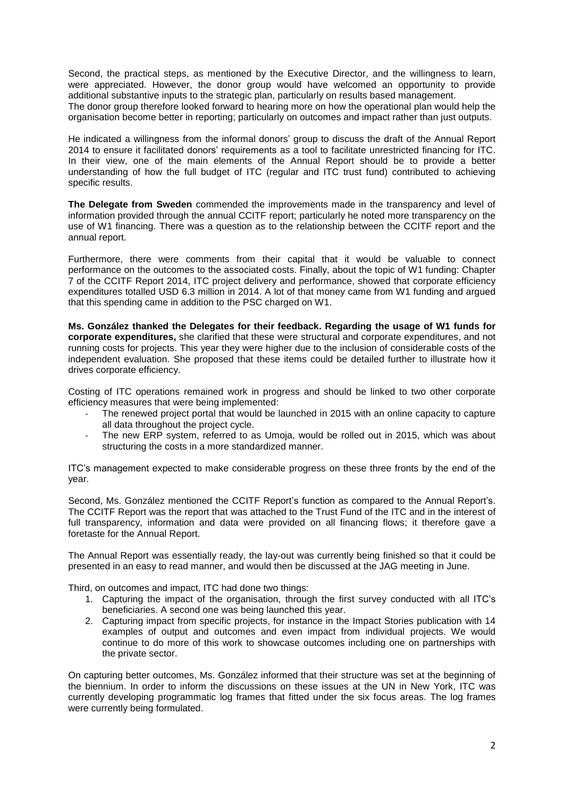Second, the practical steps, as mentioned by the Executive Director, and the willingness to learn, were appreciated. However, the donor group would have welcomed an opportunity to provide additional substantive inputs to the strategic plan, particularly on results based management.

The donor group therefore looked forward to hearing more on how the operational plan would help the organisation become better in reporting; particularly on outcomes and impact rather than just outputs.

He indicated a willingness from the informal donors' group to discuss the draft of the Annual Report 2014 to ensure it facilitated donors' requirements as a tool to facilitate unrestricted financing for ITC. In their view, one of the main elements of the Annual Report should be to provide a better understanding of how the full budget of ITC (regular and ITC trust fund) contributed to achieving specific results.

**The Delegate from Sweden** commended the improvements made in the transparency and level of information provided through the annual CCITF report; particularly he noted more transparency on the use of W1 financing. There was a question as to the relationship between the CCITF report and the annual report.

Furthermore, there were comments from their capital that it would be valuable to connect performance on the outcomes to the associated costs. Finally, about the topic of W1 funding: Chapter 7 of the CCITF Report 2014, ITC project delivery and performance, showed that corporate efficiency expenditures totalled USD 6.3 million in 2014. A lot of that money came from W1 funding and argued that this spending came in addition to the PSC charged on W1.

**Ms. González thanked the Delegates for their feedback. Regarding the usage of W1 funds for corporate expenditures,** she clarified that these were structural and corporate expenditures, and not running costs for projects. This year they were higher due to the inclusion of considerable costs of the independent evaluation. She proposed that these items could be detailed further to illustrate how it drives corporate efficiency.

Costing of ITC operations remained work in progress and should be linked to two other corporate efficiency measures that were being implemented:

- The renewed project portal that would be launched in 2015 with an online capacity to capture all data throughout the project cycle.
- The new ERP system, referred to as Umoja, would be rolled out in 2015, which was about structuring the costs in a more standardized manner.

ITC's management expected to make considerable progress on these three fronts by the end of the year.

Second, Ms. González mentioned the CCITF Report's function as compared to the Annual Report's. The CCITF Report was the report that was attached to the Trust Fund of the ITC and in the interest of full transparency, information and data were provided on all financing flows; it therefore gave a foretaste for the Annual Report.

The Annual Report was essentially ready, the lay-out was currently being finished so that it could be presented in an easy to read manner, and would then be discussed at the JAG meeting in June.

Third, on outcomes and impact, ITC had done two things:

- 1. Capturing the impact of the organisation, through the first survey conducted with all ITC's beneficiaries. A second one was being launched this year.
- 2. Capturing impact from specific projects, for instance in the Impact Stories publication with 14 examples of output and outcomes and even impact from individual projects. We would continue to do more of this work to showcase outcomes including one on partnerships with the private sector.

On capturing better outcomes, Ms. González informed that their structure was set at the beginning of the biennium. In order to inform the discussions on these issues at the UN in New York, ITC was currently developing programmatic log frames that fitted under the six focus areas. The log frames were currently being formulated.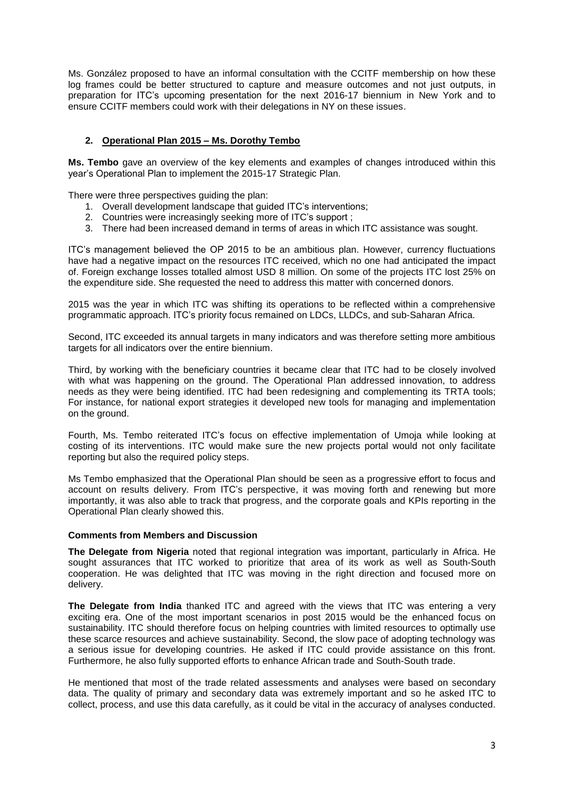Ms. González proposed to have an informal consultation with the CCITF membership on how these log frames could be better structured to capture and measure outcomes and not just outputs, in preparation for ITC's upcoming presentation for the next 2016-17 biennium in New York and to ensure CCITF members could work with their delegations in NY on these issues.

# **2. Operational Plan 2015 – Ms. Dorothy Tembo**

**Ms. Tembo** gave an overview of the key elements and examples of changes introduced within this year's Operational Plan to implement the 2015-17 Strategic Plan.

There were three perspectives guiding the plan:

- 1. Overall development landscape that guided ITC's interventions;
- 2. Countries were increasingly seeking more of ITC's support ;
- 3. There had been increased demand in terms of areas in which ITC assistance was sought.

ITC's management believed the OP 2015 to be an ambitious plan. However, currency fluctuations have had a negative impact on the resources ITC received, which no one had anticipated the impact of. Foreign exchange losses totalled almost USD 8 million. On some of the projects ITC lost 25% on the expenditure side. She requested the need to address this matter with concerned donors.

2015 was the year in which ITC was shifting its operations to be reflected within a comprehensive programmatic approach. ITC's priority focus remained on LDCs, LLDCs, and sub-Saharan Africa.

Second, ITC exceeded its annual targets in many indicators and was therefore setting more ambitious targets for all indicators over the entire biennium.

Third, by working with the beneficiary countries it became clear that ITC had to be closely involved with what was happening on the ground. The Operational Plan addressed innovation, to address needs as they were being identified. ITC had been redesigning and complementing its TRTA tools; For instance, for national export strategies it developed new tools for managing and implementation on the ground.

Fourth, Ms. Tembo reiterated ITC's focus on effective implementation of Umoja while looking at costing of its interventions. ITC would make sure the new projects portal would not only facilitate reporting but also the required policy steps.

Ms Tembo emphasized that the Operational Plan should be seen as a progressive effort to focus and account on results delivery. From ITC's perspective, it was moving forth and renewing but more importantly, it was also able to track that progress, and the corporate goals and KPIs reporting in the Operational Plan clearly showed this.

#### **Comments from Members and Discussion**

**The Delegate from Nigeria** noted that regional integration was important, particularly in Africa. He sought assurances that ITC worked to prioritize that area of its work as well as South-South cooperation. He was delighted that ITC was moving in the right direction and focused more on delivery.

**The Delegate from India** thanked ITC and agreed with the views that ITC was entering a very exciting era. One of the most important scenarios in post 2015 would be the enhanced focus on sustainability. ITC should therefore focus on helping countries with limited resources to optimally use these scarce resources and achieve sustainability. Second, the slow pace of adopting technology was a serious issue for developing countries. He asked if ITC could provide assistance on this front. Furthermore, he also fully supported efforts to enhance African trade and South-South trade.

He mentioned that most of the trade related assessments and analyses were based on secondary data. The quality of primary and secondary data was extremely important and so he asked ITC to collect, process, and use this data carefully, as it could be vital in the accuracy of analyses conducted.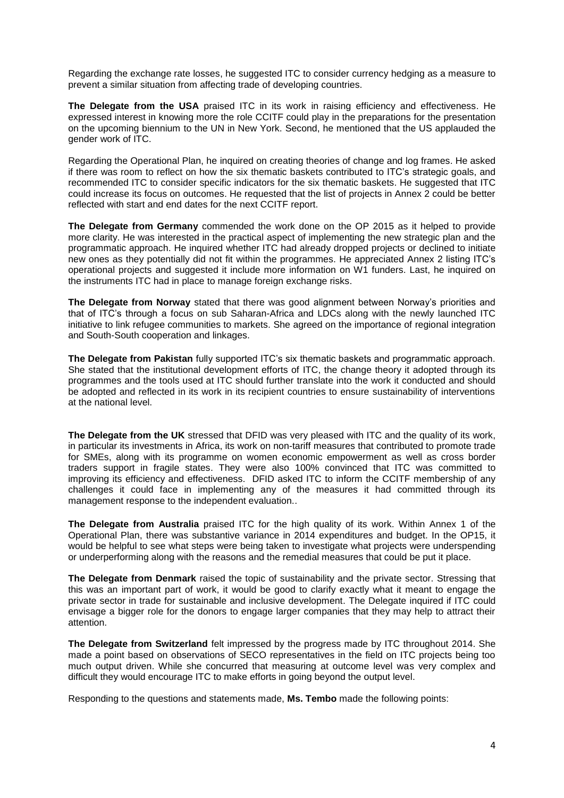Regarding the exchange rate losses, he suggested ITC to consider currency hedging as a measure to prevent a similar situation from affecting trade of developing countries.

**The Delegate from the USA** praised ITC in its work in raising efficiency and effectiveness. He expressed interest in knowing more the role CCITF could play in the preparations for the presentation on the upcoming biennium to the UN in New York. Second, he mentioned that the US applauded the gender work of ITC.

Regarding the Operational Plan, he inquired on creating theories of change and log frames. He asked if there was room to reflect on how the six thematic baskets contributed to ITC's strategic goals, and recommended ITC to consider specific indicators for the six thematic baskets. He suggested that ITC could increase its focus on outcomes. He requested that the list of projects in Annex 2 could be better reflected with start and end dates for the next CCITF report.

**The Delegate from Germany** commended the work done on the OP 2015 as it helped to provide more clarity. He was interested in the practical aspect of implementing the new strategic plan and the programmatic approach. He inquired whether ITC had already dropped projects or declined to initiate new ones as they potentially did not fit within the programmes. He appreciated Annex 2 listing ITC's operational projects and suggested it include more information on W1 funders. Last, he inquired on the instruments ITC had in place to manage foreign exchange risks.

**The Delegate from Norway** stated that there was good alignment between Norway's priorities and that of ITC's through a focus on sub Saharan-Africa and LDCs along with the newly launched ITC initiative to link refugee communities to markets. She agreed on the importance of regional integration and South-South cooperation and linkages.

**The Delegate from Pakistan** fully supported ITC's six thematic baskets and programmatic approach. She stated that the institutional development efforts of ITC, the change theory it adopted through its programmes and the tools used at ITC should further translate into the work it conducted and should be adopted and reflected in its work in its recipient countries to ensure sustainability of interventions at the national level.

**The Delegate from the UK** stressed that DFID was very pleased with ITC and the quality of its work, in particular its investments in Africa, its work on non-tariff measures that contributed to promote trade for SMEs, along with its programme on women economic empowerment as well as cross border traders support in fragile states. They were also 100% convinced that ITC was committed to improving its efficiency and effectiveness. DFID asked ITC to inform the CCITF membership of any challenges it could face in implementing any of the measures it had committed through its management response to the independent evaluation..

**The Delegate from Australia** praised ITC for the high quality of its work. Within Annex 1 of the Operational Plan, there was substantive variance in 2014 expenditures and budget. In the OP15, it would be helpful to see what steps were being taken to investigate what projects were underspending or underperforming along with the reasons and the remedial measures that could be put it place.

**The Delegate from Denmark** raised the topic of sustainability and the private sector. Stressing that this was an important part of work, it would be good to clarify exactly what it meant to engage the private sector in trade for sustainable and inclusive development. The Delegate inquired if ITC could envisage a bigger role for the donors to engage larger companies that they may help to attract their attention.

**The Delegate from Switzerland** felt impressed by the progress made by ITC throughout 2014. She made a point based on observations of SECO representatives in the field on ITC projects being too much output driven. While she concurred that measuring at outcome level was very complex and difficult they would encourage ITC to make efforts in going beyond the output level.

Responding to the questions and statements made, **Ms. Tembo** made the following points: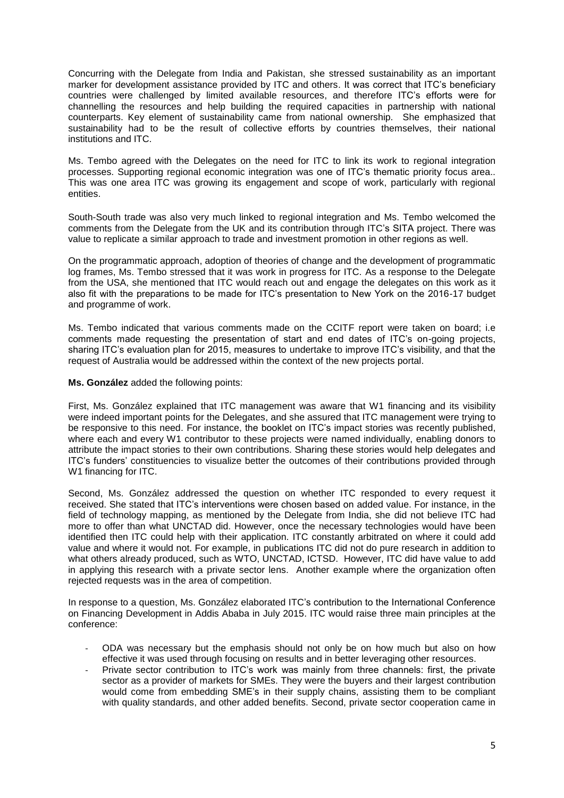Concurring with the Delegate from India and Pakistan, she stressed sustainability as an important marker for development assistance provided by ITC and others. It was correct that ITC's beneficiary countries were challenged by limited available resources, and therefore ITC's efforts were for channelling the resources and help building the required capacities in partnership with national counterparts. Key element of sustainability came from national ownership. She emphasized that sustainability had to be the result of collective efforts by countries themselves, their national institutions and ITC.

Ms. Tembo agreed with the Delegates on the need for ITC to link its work to regional integration processes. Supporting regional economic integration was one of ITC's thematic priority focus area.. This was one area ITC was growing its engagement and scope of work, particularly with regional entities.

South-South trade was also very much linked to regional integration and Ms. Tembo welcomed the comments from the Delegate from the UK and its contribution through ITC's SITA project. There was value to replicate a similar approach to trade and investment promotion in other regions as well.

On the programmatic approach, adoption of theories of change and the development of programmatic log frames, Ms. Tembo stressed that it was work in progress for ITC. As a response to the Delegate from the USA, she mentioned that ITC would reach out and engage the delegates on this work as it also fit with the preparations to be made for ITC's presentation to New York on the 2016-17 budget and programme of work.

Ms. Tembo indicated that various comments made on the CCITF report were taken on board; i.e comments made requesting the presentation of start and end dates of ITC's on-going projects, sharing ITC's evaluation plan for 2015, measures to undertake to improve ITC's visibility, and that the request of Australia would be addressed within the context of the new projects portal.

**Ms. González** added the following points:

First, Ms. González explained that ITC management was aware that W1 financing and its visibility were indeed important points for the Delegates, and she assured that ITC management were trying to be responsive to this need. For instance, the booklet on ITC's impact stories was recently published, where each and every W1 contributor to these projects were named individually, enabling donors to attribute the impact stories to their own contributions. Sharing these stories would help delegates and ITC's funders' constituencies to visualize better the outcomes of their contributions provided through W1 financing for ITC.

Second, Ms. González addressed the question on whether ITC responded to every request it received. She stated that ITC's interventions were chosen based on added value. For instance, in the field of technology mapping, as mentioned by the Delegate from India, she did not believe ITC had more to offer than what UNCTAD did. However, once the necessary technologies would have been identified then ITC could help with their application. ITC constantly arbitrated on where it could add value and where it would not. For example, in publications ITC did not do pure research in addition to what others already produced, such as WTO, UNCTAD, ICTSD. However, ITC did have value to add in applying this research with a private sector lens. Another example where the organization often rejected requests was in the area of competition.

In response to a question, Ms. González elaborated ITC's contribution to the International Conference on Financing Development in Addis Ababa in July 2015. ITC would raise three main principles at the conference:

- ODA was necessary but the emphasis should not only be on how much but also on how effective it was used through focusing on results and in better leveraging other resources.
- Private sector contribution to ITC's work was mainly from three channels: first, the private sector as a provider of markets for SMEs. They were the buyers and their largest contribution would come from embedding SME's in their supply chains, assisting them to be compliant with quality standards, and other added benefits. Second, private sector cooperation came in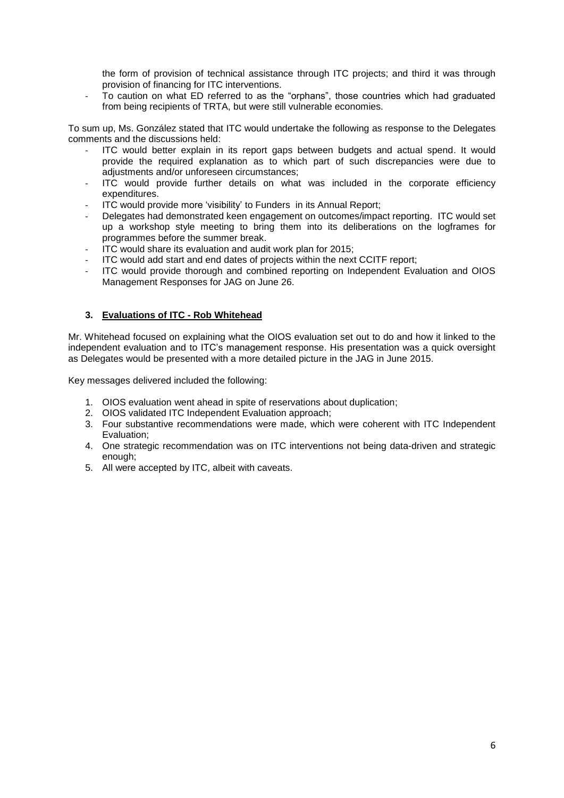the form of provision of technical assistance through ITC projects; and third it was through provision of financing for ITC interventions.

- To caution on what ED referred to as the "orphans", those countries which had graduated from being recipients of TRTA, but were still vulnerable economies.

To sum up, Ms. González stated that ITC would undertake the following as response to the Delegates comments and the discussions held:

- ITC would better explain in its report gaps between budgets and actual spend. It would provide the required explanation as to which part of such discrepancies were due to adjustments and/or unforeseen circumstances;
- ITC would provide further details on what was included in the corporate efficiency expenditures.
- ITC would provide more 'visibility' to Funders in its Annual Report;
- Delegates had demonstrated keen engagement on outcomes/impact reporting. ITC would set up a workshop style meeting to bring them into its deliberations on the logframes for programmes before the summer break.
- ITC would share its evaluation and audit work plan for 2015;
- ITC would add start and end dates of projects within the next CCITF report;
- ITC would provide thorough and combined reporting on Independent Evaluation and OIOS Management Responses for JAG on June 26.

#### **3. Evaluations of ITC - Rob Whitehead**

Mr. Whitehead focused on explaining what the OIOS evaluation set out to do and how it linked to the independent evaluation and to ITC's management response. His presentation was a quick oversight as Delegates would be presented with a more detailed picture in the JAG in June 2015.

Key messages delivered included the following:

- 1. OIOS evaluation went ahead in spite of reservations about duplication;
- 2. OIOS validated ITC Independent Evaluation approach;
- 3. Four substantive recommendations were made, which were coherent with ITC Independent Evaluation;
- 4. One strategic recommendation was on ITC interventions not being data-driven and strategic enough;
- 5. All were accepted by ITC, albeit with caveats.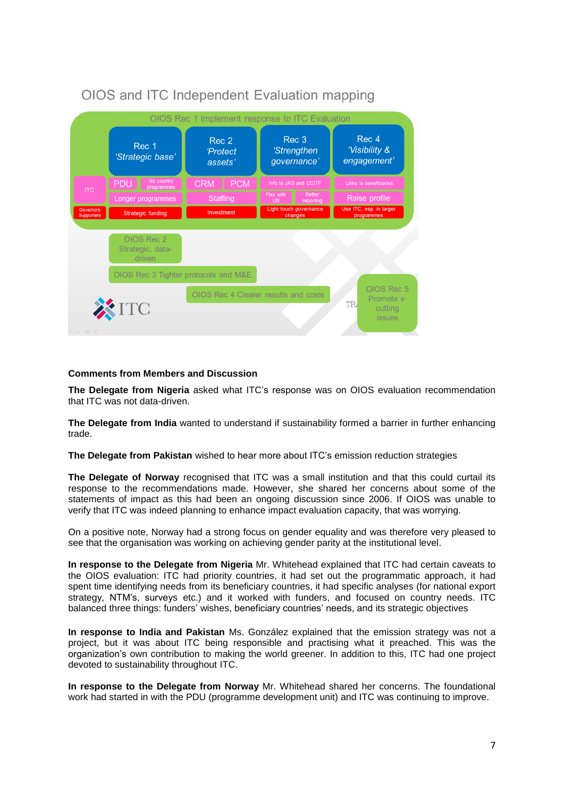|                             |                                          | OIOS Rec 1 Implement response to ITC Evaluation |                                    |                                               |                                     |                                       |                                                      |  |
|-----------------------------|------------------------------------------|-------------------------------------------------|------------------------------------|-----------------------------------------------|-------------------------------------|---------------------------------------|------------------------------------------------------|--|
|                             | Rec 1<br>'Strategic base'                |                                                 | Rec 2<br><b>Protect</b><br>assets' |                                               | Rec 3<br>'Strengthen<br>governance' |                                       | Rec 4<br>'Visibility &<br>engagement'                |  |
| <b>ITC</b>                  | No country<br>PDU<br>programmes          | <b>CRM</b>                                      | <b>PCM</b>                         | Info to JAG and CCITF                         |                                     |                                       | Links to beneficiaries                               |  |
|                             | Longer programmes                        | <b>Staffing</b>                                 |                                    | <b>Better</b><br>Flex with<br>reporting<br>UN |                                     | Raise profile                         |                                                      |  |
| Governors<br>Supporters     | <b>Strategic funding</b>                 | Investment                                      |                                    | Light touch governance<br>changes             |                                     | Use ITC, esp. in larger<br>programmes |                                                      |  |
|                             | OIOS Rec 2<br>Strategic, data-<br>driven |                                                 |                                    |                                               |                                     |                                       |                                                      |  |
|                             | OIOS Rec 3 Tighter protocols and M&E     |                                                 |                                    |                                               |                                     |                                       |                                                      |  |
|                             | XITC                                     |                                                 |                                    | OIOS Rec 4 Clearer results and costs          |                                     | <b>TR</b>                             | OIOS Rec 5<br>Promote x-<br>cutting<br><i>issues</i> |  |
| $\Rightarrow$ $\Rightarrow$ |                                          |                                                 |                                    |                                               |                                     |                                       |                                                      |  |

# OIOS and ITC Independent Evaluation mapping

# **Comments from Members and Discussion**

**The Delegate from Nigeria** asked what ITC's response was on OIOS evaluation recommendation that ITC was not data-driven.

**The Delegate from India** wanted to understand if sustainability formed a barrier in further enhancing trade.

**The Delegate from Pakistan** wished to hear more about ITC's emission reduction strategies

**The Delegate of Norway** recognised that ITC was a small institution and that this could curtail its response to the recommendations made. However, she shared her concerns about some of the statements of impact as this had been an ongoing discussion since 2006. If OIOS was unable to verify that ITC was indeed planning to enhance impact evaluation capacity, that was worrying.

On a positive note, Norway had a strong focus on gender equality and was therefore very pleased to see that the organisation was working on achieving gender parity at the institutional level.

**In response to the Delegate from Nigeria** Mr. Whitehead explained that ITC had certain caveats to the OIOS evaluation: ITC had priority countries, it had set out the programmatic approach, it had spent time identifying needs from its beneficiary countries, it had specific analyses (for national export strategy, NTM's, surveys etc.) and it worked with funders, and focused on country needs. ITC balanced three things: funders' wishes, beneficiary countries' needs, and its strategic objectives

**In response to India and Pakistan** Ms. González explained that the emission strategy was not a project, but it was about ITC being responsible and practising what it preached. This was the organization's own contribution to making the world greener. In addition to this, ITC had one project devoted to sustainability throughout ITC.

**In response to the Delegate from Norway** Mr. Whitehead shared her concerns. The foundational work had started in with the PDU (programme development unit) and ITC was continuing to improve.